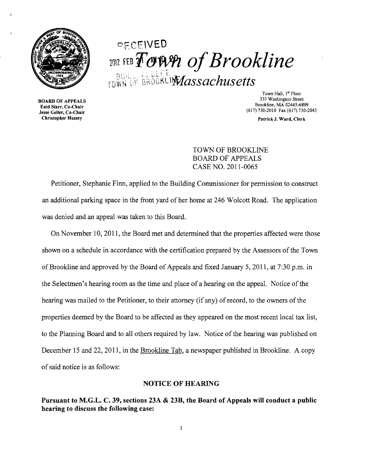

# DFCE\VEO **1012 FEB FOWER of Brookline**  $_{\rm{FOWN}}$  of unumpricisacriusetts.

Enid Starr, Co-Chair<br>Jesse Geller, Co-Chair Find Start, Co-Chair<br>Jesse Geller, Co-Chair<br>Christopher Hussey Patrick J. Ward. Clerk

Town Hall, 1<sup>st</sup> Floor<br>333 Washington Street 333 Washington Street BOARD OF APPEALS<br>Brookline, MA 02445-6899

Patrick J. Ward, Clerk

TOWN OF BROOKLINE BOARD OF APPEALS CASE NO. 2011-0065

Petitioner, Stephanie Finn, applied to the Building Commissioner for permission to construct an additional parking space in the front yard of her home at 246 Wolcott Road. The application was denied and an appeal was taken to this Board.

On November 10,2011, the Board met and detennined that the properties affected were those shown on a schedule in accordance with the certification prepared by the Assessors of the Town of Brookline and approved by the Board of Appeals and fixed January 5, 2011, at 7:30 p.m. in the Selectmen's hearing room as the time and place of a hearing on the appeal. Notice of the hearing was mailed to the Petitioner, to their attorney (if any) of record, to the owners of the properties deemed by the Board to be affected as they appeared on the most recent local tax list, to the Planning Board and to all others required by law. Notice of the hearing was published on December 15 and 22, 2011, in the Brookline Tab, a newspaper published in Brookline. A copy of said notice is as follows:

## NOTICE OF HEARING

Pursuant to M.G.L. C. 39, sections 23A & 23B, the Board of Appeals will conduct a public hearing to discuss the following case: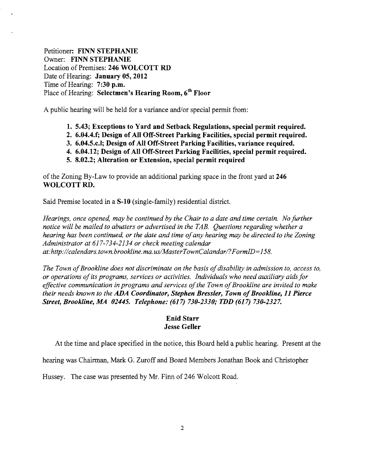Petitioner: FINN STEPHANIE Owner: FINN STEPHANIE Location of Premises: 246 WOLCOTT RD Date of Hearing: January 05, 2012 Time of Hearing: 7:30 p.m. Place of Hearing: Selectmen's Hearing Room,  $6<sup>th</sup>$  Floor

A public hearing will be held for a variance and/or special permit from:

- 1. 5.43; Exceptions to Yard and Setback Regulations, special permit required.
- 2. 6.04.4.f; Design of All Off-Street Parking Facilities, special permit required.
- 3. 6.04.5.c.l; Design of All Off-Street Parking Facilities, variance required.
- 4. 6.04.12; Design of All Off-Street Parking Facilities, special permit required.
- 5. 8.02.2; Alteration or Extension, special permit required

of the Zoning By-Law to provide an additional parking space in the front yard at 246 WOLCOTT RD.

Said Premise located in a S-10 (single-family) residential district.

*Hearings, once opened, may be continued by the Chair to a date and time certain. No further notice will be mailed to abutters or advertised in the TAB. Questions regarding whether a hearing has been continued, or the date and time ofany hearing may be directed to the Zoning Administrator at* 617-734-2134 *or check meeting calendar at:http://calendars.town.brookline.ma.usIMasterTownCalandarl?FormID=*158.

*The Town of Brookline does not discriminate on the basis of disability in admission to, access to, or operations ofits programs, services or activities. Individuals who need auxiliary aids for*  effective communication in programs and services of the Town of Brookline are invited to make *their needs known to the ADA Coordinator, Stephen Bressler, Town of Brookline, 11 Pierce Street, Brookline, A1A 02445. Telephone:* (617) *730-2330; TDD* (617) *730-2327.* 

## Enid Starr Jesse Geller

At the time and place specified in the notice, this Board held a public hearing. Present at the

hearing was Chairman, Mark G. Zuroff and Board Members Jonathan Book and Christopher

Hussey. The case was presented by Mr. Finn of 246 Wolcott Road.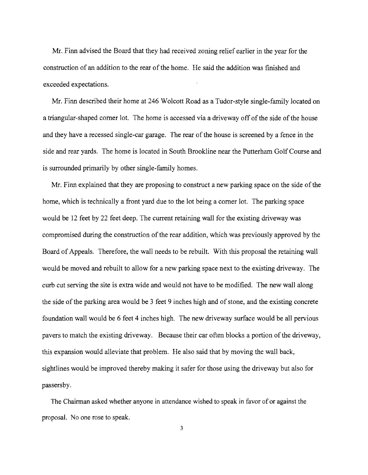Mr. Finn advised the Board that they had received zoning relief earlier in the year for the construction of an addition to the rear of the home. He said the addition was finished and exceeded expectations.

Mr. Finn described their home at 246 Wolcott Road as a Tudor-style single-family located on a triangular-shaped corner lot. The home is accessed via a driveway off of the side of the house and they have a recessed single-car garage. The rear of the house is screened by a fence in the side and rear yards. The home is located in South Brookline near the Putterham Golf Course and is surrounded primarily by other single-family homes.

Mr. Finn explained that they are proposing to construct a new parking space on the side of the home, which is technically a front yard due to the lot being a comer lot. The parking space would be 12 feet by 22 feet deep. The current retaining wall for the existing driveway was compromised during the construction of the rear addition, which was previously approved by the Board of Appeals. Therefore, the wall needs to be rebuilt. With this proposal the retaining wall would be moved and rebuilt to allow for a new parking space next to the existing driveway. The curb cut serving the site is extra wide and would not have to be modified. The new wall along the side of the parking area would be 3 feet 9 inches high and of stone, and the existing concrete foundation wall would be 6 feet 4 inches high. The new driveway surface would be all pervious pavers to match the existing driveway. Because their car often blocks a portion of the driveway, this expansion would alleviate that problem. He also said that by moving the wall back, sightlines would be improved thereby making it safer for those using the driveway but also for passersby.

The Chairman asked whether anyone in attendance wished to speak in favor of or against the proposal. No one rose to speak.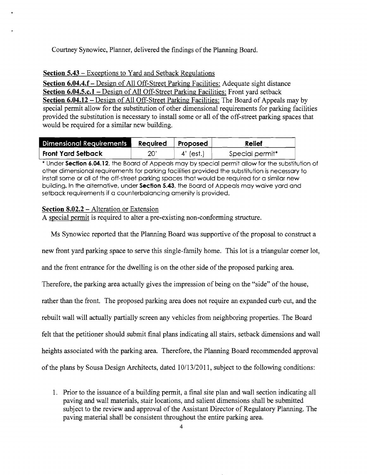Courtney Synowiec, Planner, delivered the findings of the Planning Board.

## **Section 5.43** - Exceptions to Yard and Setback Regulations

**Section 6.04.4.f** – Design of All Off-Street Parking Facilities: Adequate sight distance **Section 6.04.5.c.1** – Design of All Off-Street Parking Facilities: Front yard setback **Section 6.04.12** - Design of All Off-Street Parking Facilities: The Board of Appeals may by special permit allow for the substitution of other dimensional requirements for parking facilities provided the substitution is necessary to install some or all of the off-street parking spaces that would be required for a similar new building.

| Dimensional Requirements | Required Proposed |           | <b>Relief</b>   |
|--------------------------|-------------------|-----------|-----------------|
| Front Yard Setback       | 20'               | 4' (est.) | Special permit* |

\* Under **Section 6.04.12,** the Board of Appeals may by special permit allow for the substitution of other dimensional requirements for parking facilities provided the substitution is necessary to install some or all of the off-street parking spaces that would be required for a similar new building. In the alternative, under **Section** 5.43, the Board of Appeals may waive yard and setback requirements if a counterbalancing amenity is provided.

## **Section 8.02.2 – Alteration or Extension**

A special permit is required to alter a pre-existing non-conforming structure.

Ms Synowiec reported that the Planning Board was supportive of the proposal to construct a

new front yard parking space to serve this single-family home. This lot is a triangular comer lot,

and the front entrance for the dwelling is on the other side of the proposed parking area.

Therefore, the parking area actually gives the impression of being on the "side" of the house,

rather than the front. The proposed parking area does not require an expanded curb cut, and the

rebuilt wall will actually partially screen any vehicles from neighboring properties. The Board

felt that the petitioner should submit final plans indicating all stairs, setback dimensions and wall

heights associated with the parking area. Therefore, the Planning Board recommended approval

of the plans by Sousa Design Architects, dated  $10/13/2011$ , subject to the following conditions:

<sup>1.</sup> Prior to the issuance of a building permit, a final site plan and wall section indicating all paving and wall materials, stair locations, and salient dimensions shall be submitted subject to the review and approval of the Assistant Director of Regulatory Planning. The paving material shall be consistent throughout the entire parking area.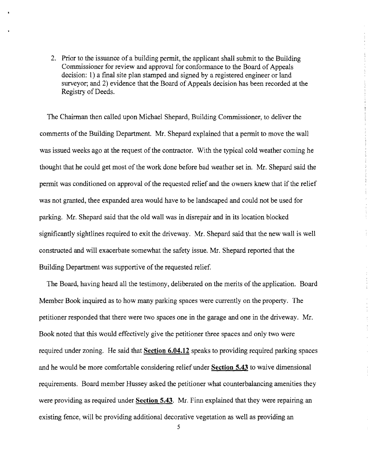2. Prior to the issuance of a building permit, the applicant shall submit to the Building Commissioner for review and approval for conformance to the Board of Appeals decision: I) a fmal site plan stamped and signed by a registered engineer or land surveyor; and 2) evidence that the Board of Appeals decision has been recorded at the Registry of Deeds.

The Chairman then called upon Michael Shepard, Building Commissioner, to deliver the comments of the Building Department. Mr. Shepard explained that a pennit to move the wall was issued weeks ago at the request of the contractor. With the typical cold weather coming he thought that he could get most of the work done before bad weather set in. Mr. Shepard said the permit was conditioned on approval of the requested relief and the owners knew that if the relief was not granted, thee expanded area would have to be landscaped and could not be used for parking. Mr. Shepard said that the old wall was in disrepair and in its location blocked significantly sightlines required to exit the driveway. Mr. Shepard said that the new wall is well constructed and will exacerbate somewhat the safety issue. Mr. Shepard reported that the Building Department was supportive of the requested relief.

The Board, having heard all the testimony, deliberated on the merits of the application. Board Member Book inquired as to how many parking spaces were currently on the property. The petitioner responded that there were two spaces one in the garage and one in the driveway. Mr. Book noted that this would effectively give the petitioner three spaces and only two were required under zoning. He said that **Section 6.04.12** speaks to providing required parking spaces and he would be more comfortable considering relief under **Section 5.43** to waive dimensional requirements. Board member Hussey asked the petitioner what counterbalancing amenities they were providing as required under **Section 5.43.** Mr. Finn explained that they were repairing an existing fence, will be providing additional decorative vegetation as well as providing an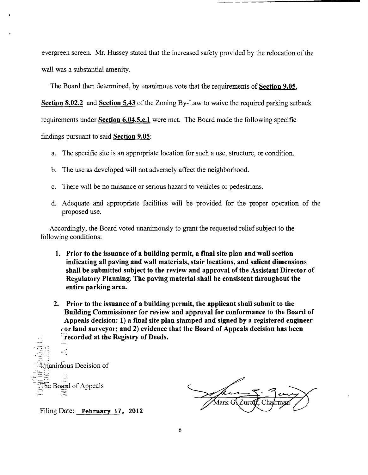evergreen screen. Mr. Hussey stated that the increased safety provided by the relocation of the wall was a substantial amenity.

The Board then determined, by unanimous vote that the requirements of Section 9.05,

Section 8.02.2 and Section 5.43 of the Zoning By-Law to waive the required parking setback

requirements under Section 6.04.5.c.1 were met. The Board made the following specific

findings pursuant to said Section 9.05:

- a. The specific site is an appropriate location for such a use, structure, or condition.
- b. The use as developed will not adversely affect the neighborhood.
- c. There will be no nuisance or serious hazard to vehicles or pedestrians.
- d. Adequate and appropriate facilities will be provided for the proper operation of the proposed use.

Accordingly, the Board voted unanimously to grant the requested relief subject to the following conditions:

- 1. Prior to the issuance of a building permit, a final site plan and wall section indicating all paving and wall materials, stair locations, and salient dimensions shall be submitted subject to the review and approval of the Assistant Director of Regulatory Planning. The paving material shall be consistent throughout the entire parking area.
- 2. Prior to the issuance of a building permit, the applicant shall submit to the Building Commissioner for review and approval for conformance to the Board of Appeals decision: 1) a final site plan stamped and signed by a registered engineer  $\epsilon$  or land surveyor; and 2) evidence that the Board of Appeals decision has been recorded at the Registry of Deeds.

 $\overline{\Xi}$  , ċ.  $\equiv$   $\Box$ Unanimous Decision of Ë The Board of Appeals  $\Xi$ 

Mark G! Zurot

Filing Date: February 17. 2012